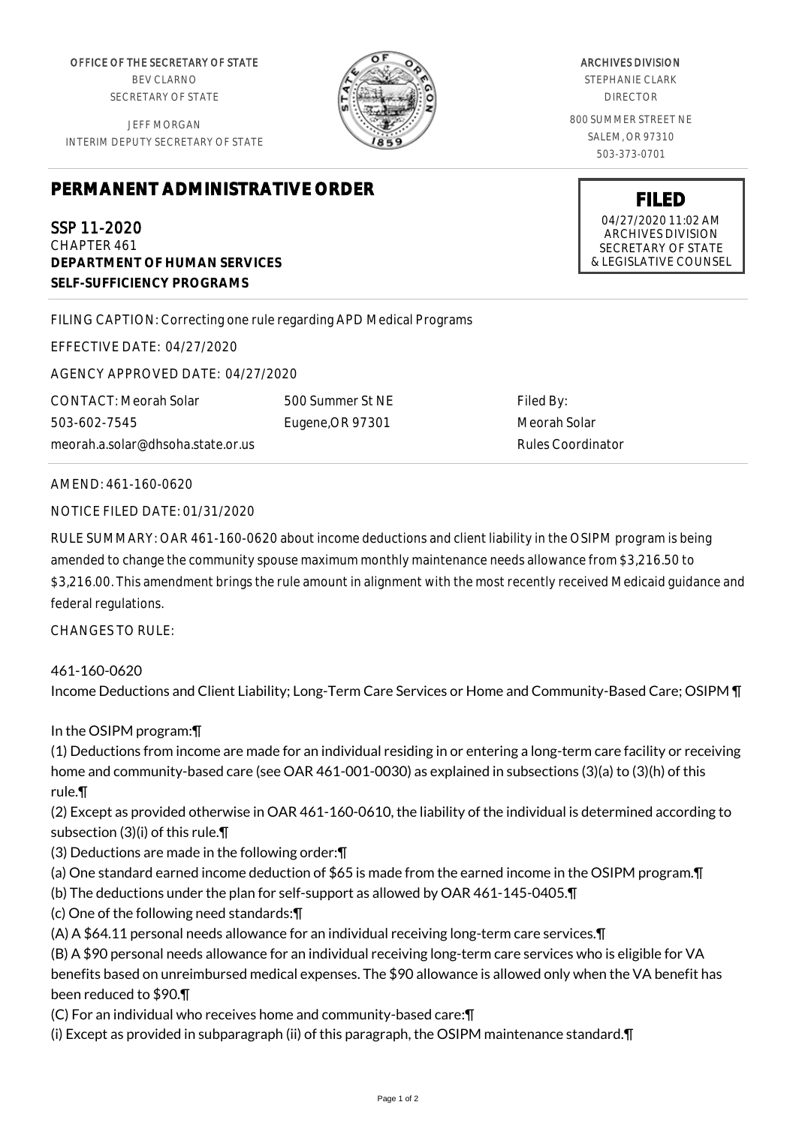OFFICE OF THE SECRETARY OF STATE BEV CLARNO SECRETARY OF STATE

JEFF MORGAN INTERIM DEPUTY SECRETARY OF STATE

## **PERMANENT ADMINISTRATIVE ORDER**

SSP 11-2020 CHAPTER 461 **DEPARTMENT OF HUMAN SERVICES SELF-SUFFICIENCY PROGRAMS**

FILING CAPTION: Correcting one rule regarding APD Medical Programs

EFFECTIVE DATE: 04/27/2020

AGENCY APPROVED DATE: 04/27/2020

CONTACT: Meorah Solar 503-602-7545 meorah.a.solar@dhsoha.state.or.us 500 Summer St NE Eugene,OR 97301

Filed By: Meorah Solar Rules Coordinator

## AMEND: 461-160-0620

NOTICE FILED DATE: 01/31/2020

RULE SUMMARY: OAR 461-160-0620 about income deductions and client liability in the OSIPM program is being amended to change the community spouse maximum monthly maintenance needs allowance from \$3,216.50 to \$3,216.00. This amendment brings the rule amount in alignment with the most recently received Medicaid guidance and federal regulations.

CHANGES TO RULE:

461-160-0620 Income Deductions and Client Liability; Long-Term Care Services or Home and Community-Based Care; OSIPM ¶

## In the OSIPM program:¶

(1) Deductions from income are made for an individual residing in or entering a long-term care facility or receiving home and community-based care (see OAR 461-001-0030) as explained in subsections (3)(a) to (3)(h) of this rule.¶

(2) Except as provided otherwise in OAR 461-160-0610, the liability of the individual is determined according to subsection (3)(i) of this rule.¶

(3) Deductions are made in the following order:¶

- (a) One standard earned income deduction of \$65 is made from the earned income in the OSIPM program.¶
- (b) The deductions under the plan for self-support as allowed by OAR 461-145-0405.¶

(c) One of the following need standards:¶

(A) A \$64.11 personal needs allowance for an individual receiving long-term care services.¶

(B) A \$90 personal needs allowance for an individual receiving long-term care services who is eligible for VA benefits based on unreimbursed medical expenses. The \$90 allowance is allowed only when the VA benefit has been reduced to \$90.¶

(C) For an individual who receives home and community-based care:¶

(i) Except as provided in subparagraph (ii) of this paragraph, the OSIPM maintenance standard.¶

## 800 SUMMER STREET NE SALEM, OR 97310 503-373-0701

ARCHIVES DIVISION STEPHANIE CLARK DIRECTOR

> **FILED** 04/27/2020 11:02 AM ARCHIVES DIVISION SECRETARY OF STATE & LEGISLATIVE COUNSEL